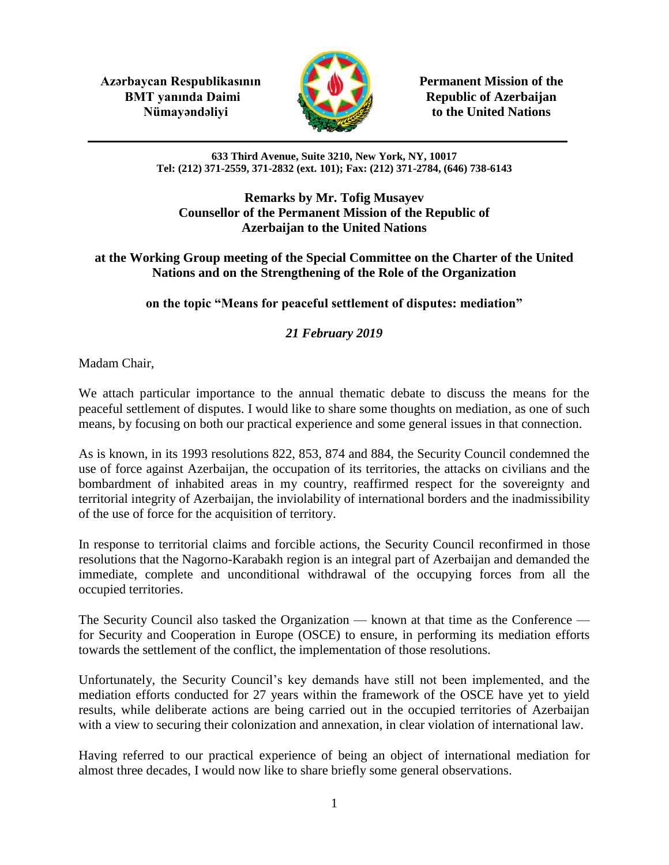**Azərbaycan Respublikasının Permanent Mission of the BMT yanında Daimi Republic of Azerbaijan** 



**Nümayəndəliyi** to the United Nations

#### **633 Third Avenue, Suite 3210, New York, NY, 10017 Tel: (212) 371-2559, 371-2832 (ext. 101); Fax: (212) 371-2784, (646) 738-6143**

#### **Remarks by Mr. Tofig Musayev Counsellor of the Permanent Mission of the Republic of Azerbaijan to the United Nations**

### **at the Working Group meeting of the Special Committee on the Charter of the United Nations and on the Strengthening of the Role of the Organization**

## **on the topic "Means for peaceful settlement of disputes: mediation"**

# *21 February 2019*

Madam Chair,

We attach particular importance to the annual thematic debate to discuss the means for the peaceful settlement of disputes. I would like to share some thoughts on mediation, as one of such means, by focusing on both our practical experience and some general issues in that connection.

As is known, in its 1993 resolutions 822, 853, 874 and 884, the Security Council condemned the use of force against Azerbaijan, the occupation of its territories, the attacks on civilians and the bombardment of inhabited areas in my country, reaffirmed respect for the sovereignty and territorial integrity of Azerbaijan, the inviolability of international borders and the inadmissibility of the use of force for the acquisition of territory.

In response to territorial claims and forcible actions, the Security Council reconfirmed in those resolutions that the Nagorno-Karabakh region is an integral part of Azerbaijan and demanded the immediate, complete and unconditional withdrawal of the occupying forces from all the occupied territories.

The Security Council also tasked the Organization — known at that time as the Conference for Security and Cooperation in Europe (OSCE) to ensure, in performing its mediation efforts towards the settlement of the conflict, the implementation of those resolutions.

Unfortunately, the Security Council's key demands have still not been implemented, and the mediation efforts conducted for 27 years within the framework of the OSCE have yet to yield results, while deliberate actions are being carried out in the occupied territories of Azerbaijan with a view to securing their colonization and annexation, in clear violation of international law.

Having referred to our practical experience of being an object of international mediation for almost three decades, I would now like to share briefly some general observations.